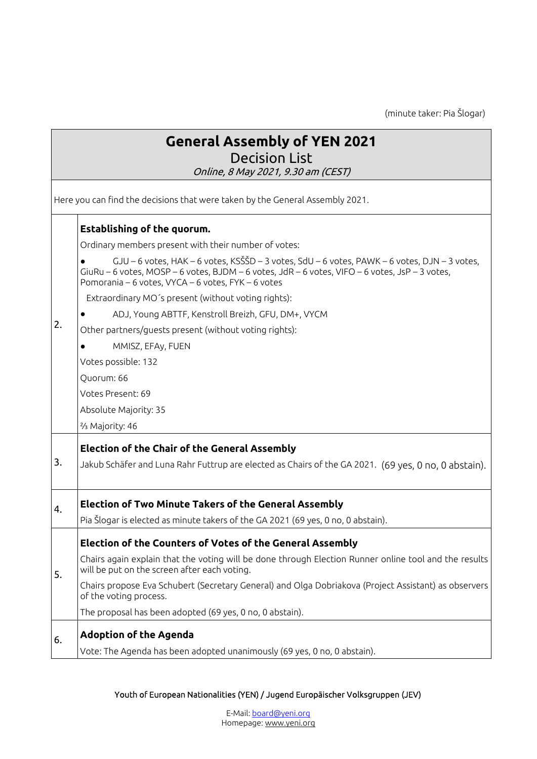(minute taker: Pia Šlogar)

|                                                                               | <b>General Assembly of YEN 2021</b><br><b>Decision List</b><br>Online, 8 May 2021, 9.30 am (CEST)                                                                                                                                                                                                                                                                                                                                                                                                                                                                                                                                                    |  |  |
|-------------------------------------------------------------------------------|------------------------------------------------------------------------------------------------------------------------------------------------------------------------------------------------------------------------------------------------------------------------------------------------------------------------------------------------------------------------------------------------------------------------------------------------------------------------------------------------------------------------------------------------------------------------------------------------------------------------------------------------------|--|--|
| Here you can find the decisions that were taken by the General Assembly 2021. |                                                                                                                                                                                                                                                                                                                                                                                                                                                                                                                                                                                                                                                      |  |  |
| 2.                                                                            | <b>Establishing of the quorum.</b><br>Ordinary members present with their number of votes:<br>$GJU - 6$ votes, $HAK - 6$ votes, $KS\tilde{S}D - 3$ votes, $SdU - 6$ votes, $PAWK - 6$ votes, $DJN - 3$ votes,<br>GiuRu - 6 votes, MOSP - 6 votes, BJDM - 6 votes, JdR - 6 votes, VIFO - 6 votes, JsP - 3 votes,<br>Pomorania - 6 votes, VYCA - 6 votes, FYK - 6 votes<br>Extraordinary MO's present (without voting rights):<br>ADJ, Young ABTTF, Kenstroll Breizh, GFU, DM+, VYCM<br>Other partners/guests present (without voting rights):<br>MMISZ, EFAy, FUEN<br>Votes possible: 132<br>Quorum: 66<br>Votes Present: 69<br>Absolute Majority: 35 |  |  |
|                                                                               | <sup>2</sup> / <sub>3</sub> Majority: 46<br><b>Election of the Chair of the General Assembly</b>                                                                                                                                                                                                                                                                                                                                                                                                                                                                                                                                                     |  |  |
| 3.<br>4.                                                                      | Jakub Schäfer and Luna Rahr Futtrup are elected as Chairs of the GA 2021. (69 yes, 0 no, 0 abstain).<br><b>Election of Two Minute Takers of the General Assembly</b><br>Pia Šlogar is elected as minute takers of the GA 2021 (69 yes, 0 no, 0 abstain).                                                                                                                                                                                                                                                                                                                                                                                             |  |  |
| 5.                                                                            | <b>Election of the Counters of Votes of the General Assembly</b><br>Chairs again explain that the voting will be done through Election Runner online tool and the results<br>will be put on the screen after each voting.<br>Chairs propose Eva Schubert (Secretary General) and Olga Dobriakova (Project Assistant) as observers<br>of the voting process.<br>The proposal has been adopted (69 yes, 0 no, 0 abstain).                                                                                                                                                                                                                              |  |  |
| 6.                                                                            | <b>Adoption of the Agenda</b><br>Vote: The Agenda has been adopted unanimously (69 yes, 0 no, 0 abstain).                                                                                                                                                                                                                                                                                                                                                                                                                                                                                                                                            |  |  |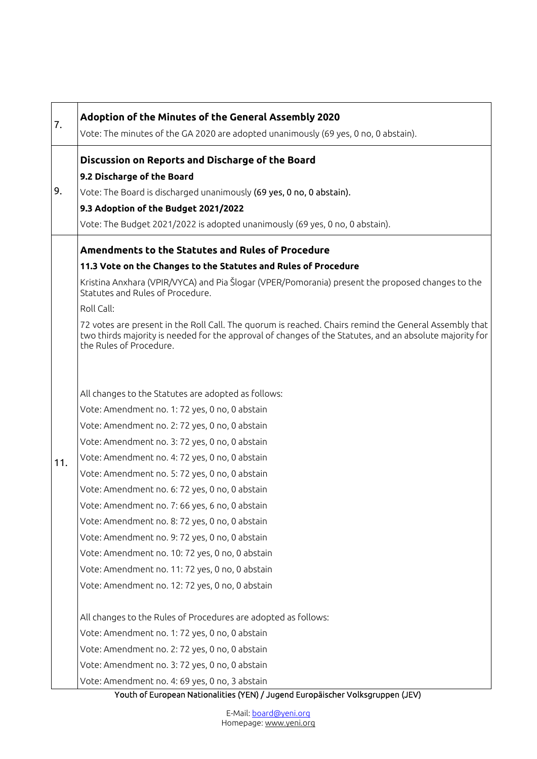| 7.  | Adoption of the Minutes of the General Assembly 2020<br>Vote: The minutes of the GA 2020 are adopted unanimously (69 yes, 0 no, 0 abstain).                                                                                                                                                                                                                                                                                                                                                                                                                              |
|-----|--------------------------------------------------------------------------------------------------------------------------------------------------------------------------------------------------------------------------------------------------------------------------------------------------------------------------------------------------------------------------------------------------------------------------------------------------------------------------------------------------------------------------------------------------------------------------|
|     | Discussion on Reports and Discharge of the Board                                                                                                                                                                                                                                                                                                                                                                                                                                                                                                                         |
| 9.  | 9.2 Discharge of the Board                                                                                                                                                                                                                                                                                                                                                                                                                                                                                                                                               |
|     | Vote: The Board is discharged unanimously (69 yes, 0 no, 0 abstain).                                                                                                                                                                                                                                                                                                                                                                                                                                                                                                     |
|     | 9.3 Adoption of the Budget 2021/2022                                                                                                                                                                                                                                                                                                                                                                                                                                                                                                                                     |
|     | Vote: The Budget 2021/2022 is adopted unanimously (69 yes, 0 no, 0 abstain).                                                                                                                                                                                                                                                                                                                                                                                                                                                                                             |
|     | Amendments to the Statutes and Rules of Procedure                                                                                                                                                                                                                                                                                                                                                                                                                                                                                                                        |
| 11. | 11.3 Vote on the Changes to the Statutes and Rules of Procedure                                                                                                                                                                                                                                                                                                                                                                                                                                                                                                          |
|     | Kristina Anxhara (VPIR/VYCA) and Pia Šlogar (VPER/Pomorania) present the proposed changes to the<br>Statutes and Rules of Procedure.                                                                                                                                                                                                                                                                                                                                                                                                                                     |
|     | Roll Call:                                                                                                                                                                                                                                                                                                                                                                                                                                                                                                                                                               |
|     | 72 votes are present in the Roll Call. The guorum is reached. Chairs remind the General Assembly that<br>two thirds majority is needed for the approval of changes of the Statutes, and an absolute majority for<br>the Rules of Procedure.                                                                                                                                                                                                                                                                                                                              |
|     | All changes to the Statutes are adopted as follows:<br>Vote: Amendment no. 1: 72 yes, 0 no, 0 abstain<br>Vote: Amendment no. 2: 72 yes, 0 no, 0 abstain<br>Vote: Amendment no. 3: 72 yes, 0 no, 0 abstain<br>Vote: Amendment no. 4: 72 yes, 0 no, 0 abstain<br>Vote: Amendment no. 5: 72 yes, 0 no, 0 abstain<br>Vote: Amendment no. 6: 72 yes, 0 no, 0 abstain<br>Vote: Amendment no. 7: 66 yes, 6 no, 0 abstain<br>Vote: Amendment no. 8: 72 yes, 0 no, 0 abstain<br>Vote: Amendment no. 9: 72 yes, 0 no, 0 abstain<br>Vote: Amendment no. 10: 72 yes, 0 no, 0 abstain |
|     | Vote: Amendment no. 11: 72 yes, 0 no, 0 abstain                                                                                                                                                                                                                                                                                                                                                                                                                                                                                                                          |
|     | Vote: Amendment no. 12: 72 yes, 0 no, 0 abstain                                                                                                                                                                                                                                                                                                                                                                                                                                                                                                                          |
|     | All changes to the Rules of Procedures are adopted as follows:                                                                                                                                                                                                                                                                                                                                                                                                                                                                                                           |
|     | Vote: Amendment no. 1: 72 yes, 0 no, 0 abstain                                                                                                                                                                                                                                                                                                                                                                                                                                                                                                                           |
|     | Vote: Amendment no. 2: 72 yes, 0 no, 0 abstain                                                                                                                                                                                                                                                                                                                                                                                                                                                                                                                           |
|     | Vote: Amendment no. 3: 72 yes, 0 no, 0 abstain                                                                                                                                                                                                                                                                                                                                                                                                                                                                                                                           |
|     | Vote: Amendment no. 4: 69 yes, 0 no, 3 abstain                                                                                                                                                                                                                                                                                                                                                                                                                                                                                                                           |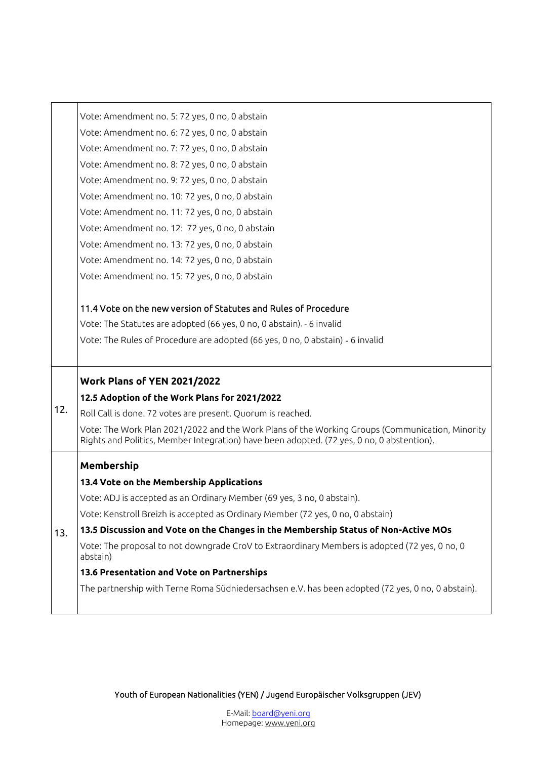|     | Vote: Amendment no. 5: 72 yes, 0 no, 0 abstain                                                                                                                                               |
|-----|----------------------------------------------------------------------------------------------------------------------------------------------------------------------------------------------|
|     | Vote: Amendment no. 6: 72 yes, 0 no, 0 abstain                                                                                                                                               |
|     | Vote: Amendment no. 7: 72 yes, 0 no, 0 abstain                                                                                                                                               |
|     | Vote: Amendment no. 8: 72 yes, 0 no, 0 abstain                                                                                                                                               |
|     | Vote: Amendment no. 9: 72 yes, 0 no, 0 abstain                                                                                                                                               |
|     | Vote: Amendment no. 10: 72 yes, 0 no, 0 abstain                                                                                                                                              |
|     | Vote: Amendment no. 11: 72 yes, 0 no, 0 abstain                                                                                                                                              |
|     | Vote: Amendment no. 12: 72 yes, 0 no, 0 abstain                                                                                                                                              |
|     | Vote: Amendment no. 13: 72 yes, 0 no, 0 abstain                                                                                                                                              |
|     | Vote: Amendment no. 14: 72 yes, 0 no, 0 abstain                                                                                                                                              |
|     | Vote: Amendment no. 15: 72 yes, 0 no, 0 abstain                                                                                                                                              |
|     | 11.4 Vote on the new version of Statutes and Rules of Procedure                                                                                                                              |
|     | Vote: The Statutes are adopted (66 yes, 0 no, 0 abstain). - 6 invalid                                                                                                                        |
|     | Vote: The Rules of Procedure are adopted (66 yes, 0 no, 0 abstain) - 6 invalid                                                                                                               |
|     |                                                                                                                                                                                              |
|     | Work Plans of YEN 2021/2022                                                                                                                                                                  |
| 12. | 12.5 Adoption of the Work Plans for 2021/2022                                                                                                                                                |
|     | Roll Call is done. 72 votes are present. Quorum is reached.                                                                                                                                  |
|     | Vote: The Work Plan 2021/2022 and the Work Plans of the Working Groups (Communication, Minority<br>Rights and Politics, Member Integration) have been adopted. (72 yes, 0 no, 0 abstention). |
|     | Membership                                                                                                                                                                                   |
|     | 13.4 Vote on the Membership Applications                                                                                                                                                     |
|     | Vote: ADJ is accepted as an Ordinary Member (69 yes, 3 no, 0 abstain).                                                                                                                       |
|     | Vote: Kenstroll Breizh is accepted as Ordinary Member (72 yes, 0 no, 0 abstain)                                                                                                              |
| 13. | 13.5 Discussion and Vote on the Changes in the Membership Status of Non-Active MOs                                                                                                           |
|     | Vote: The proposal to not downgrade CroV to Extraordinary Members is adopted (72 yes, 0 no, 0<br>abstain)                                                                                    |
|     | 13.6 Presentation and Vote on Partnerships                                                                                                                                                   |
|     | The partnership with Terne Roma Südniedersachsen e.V. has been adopted (72 yes, 0 no, 0 abstain).                                                                                            |
|     |                                                                                                                                                                                              |